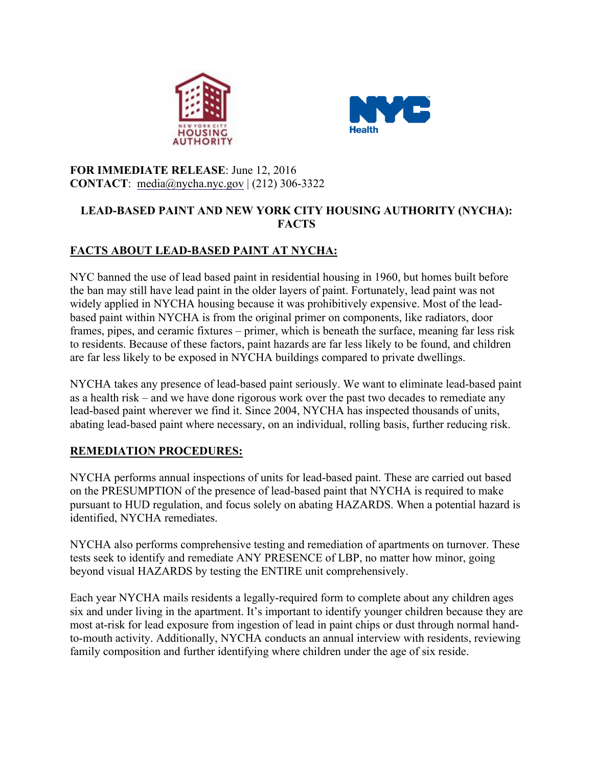



#### **FOR IMMEDIATE RELEASE**: June 12, 2016 **CONTACT**: media@nycha.nyc.gov | (212) 306-3322

### **LEAD-BASED PAINT AND NEW YORK CITY HOUSING AUTHORITY (NYCHA): FACTS**

# **FACTS ABOUT LEAD-BASED PAINT AT NYCHA:**

NYC banned the use of lead based paint in residential housing in 1960, but homes built before the ban may still have lead paint in the older layers of paint. Fortunately, lead paint was not widely applied in NYCHA housing because it was prohibitively expensive. Most of the leadbased paint within NYCHA is from the original primer on components, like radiators, door frames, pipes, and ceramic fixtures – primer, which is beneath the surface, meaning far less risk to residents. Because of these factors, paint hazards are far less likely to be found, and children are far less likely to be exposed in NYCHA buildings compared to private dwellings.

NYCHA takes any presence of lead-based paint seriously. We want to eliminate lead-based paint as a health risk – and we have done rigorous work over the past two decades to remediate any lead-based paint wherever we find it. Since 2004, NYCHA has inspected thousands of units, abating lead-based paint where necessary, on an individual, rolling basis, further reducing risk.

## **REMEDIATION PROCEDURES:**

NYCHA performs annual inspections of units for lead-based paint. These are carried out based on the PRESUMPTION of the presence of lead-based paint that NYCHA is required to make pursuant to HUD regulation, and focus solely on abating HAZARDS. When a potential hazard is identified, NYCHA remediates.

NYCHA also performs comprehensive testing and remediation of apartments on turnover. These tests seek to identify and remediate ANY PRESENCE of LBP, no matter how minor, going beyond visual HAZARDS by testing the ENTIRE unit comprehensively.

Each year NYCHA mails residents a legally-required form to complete about any children ages six and under living in the apartment. It's important to identify younger children because they are most at-risk for lead exposure from ingestion of lead in paint chips or dust through normal handto-mouth activity. Additionally, NYCHA conducts an annual interview with residents, reviewing family composition and further identifying where children under the age of six reside.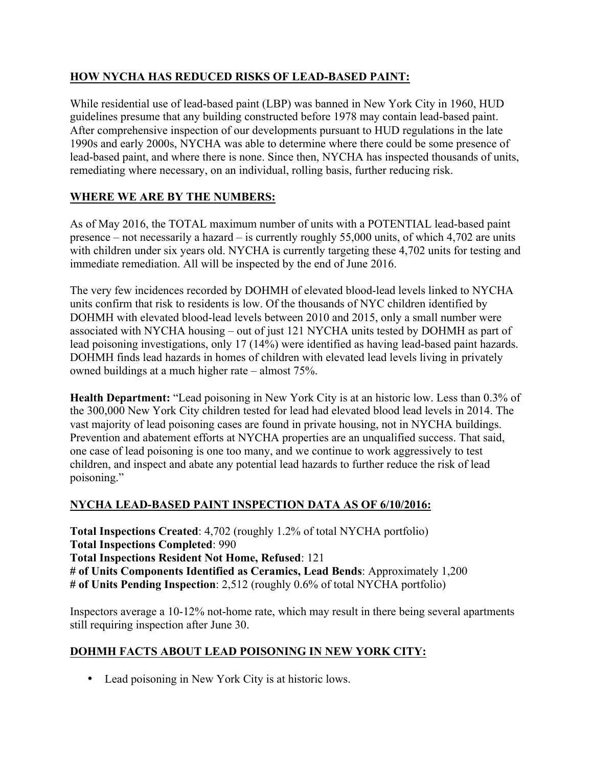### **HOW NYCHA HAS REDUCED RISKS OF LEAD-BASED PAINT:**

While residential use of lead-based paint (LBP) was banned in New York City in 1960, HUD guidelines presume that any building constructed before 1978 may contain lead-based paint. After comprehensive inspection of our developments pursuant to HUD regulations in the late 1990s and early 2000s, NYCHA was able to determine where there could be some presence of lead-based paint, and where there is none. Since then, NYCHA has inspected thousands of units, remediating where necessary, on an individual, rolling basis, further reducing risk.

### **WHERE WE ARE BY THE NUMBERS:**

As of May 2016, the TOTAL maximum number of units with a POTENTIAL lead-based paint presence – not necessarily a hazard – is currently roughly 55,000 units, of which 4,702 are units with children under six years old. NYCHA is currently targeting these 4,702 units for testing and immediate remediation. All will be inspected by the end of June 2016.

The very few incidences recorded by DOHMH of elevated blood-lead levels linked to NYCHA units confirm that risk to residents is low. Of the thousands of NYC children identified by DOHMH with elevated blood-lead levels between 2010 and 2015, only a small number were associated with NYCHA housing – out of just 121 NYCHA units tested by DOHMH as part of lead poisoning investigations, only 17 (14%) were identified as having lead-based paint hazards. DOHMH finds lead hazards in homes of children with elevated lead levels living in privately owned buildings at a much higher rate – almost 75%.

**Health Department:** "Lead poisoning in New York City is at an historic low. Less than 0.3% of the 300,000 New York City children tested for lead had elevated blood lead levels in 2014. The vast majority of lead poisoning cases are found in private housing, not in NYCHA buildings. Prevention and abatement efforts at NYCHA properties are an unqualified success. That said, one case of lead poisoning is one too many, and we continue to work aggressively to test children, and inspect and abate any potential lead hazards to further reduce the risk of lead poisoning."

#### **NYCHA LEAD-BASED PAINT INSPECTION DATA AS OF 6/10/2016:**

**Total Inspections Created**: 4,702 (roughly 1.2% of total NYCHA portfolio) **Total Inspections Completed**: 990 **Total Inspections Resident Not Home, Refused**: 121 **# of Units Components Identified as Ceramics, Lead Bends**: Approximately 1,200 **# of Units Pending Inspection**: 2,512 (roughly 0.6% of total NYCHA portfolio)

Inspectors average a 10-12% not-home rate, which may result in there being several apartments still requiring inspection after June 30.

## **DOHMH FACTS ABOUT LEAD POISONING IN NEW YORK CITY:**

• Lead poisoning in New York City is at historic lows.